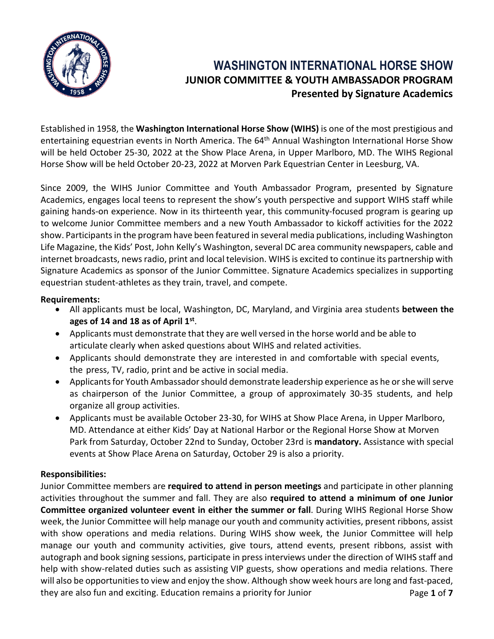

# **WASHINGTON INTERNATIONAL HORSE SHOW JUNIOR COMMITTEE & YOUTH AMBASSADOR PROGRAM Presented by Signature Academics**

Established in 1958, the **Washington International Horse Show (WIHS)** is one of the most prestigious and entertaining equestrian events in North America. The 64<sup>th</sup> Annual Washington International Horse Show will be held October 25-30, 2022 at the Show Place Arena, in Upper Marlboro, MD. The WIHS Regional Horse Show will be held October 20-23, 2022 at Morven Park Equestrian Center in Leesburg, VA.

Since 2009, the WIHS Junior Committee and Youth Ambassador Program, presented by Signature Academics, engages local teens to represent the show's youth perspective and support WIHS staff while gaining hands-on experience. Now in its thirteenth year, this community-focused program is gearing up to welcome Junior Committee members and a new Youth Ambassador to kickoff activities for the 2022 show. Participants in the program have been featured in several media publications, including Washington Life Magazine, the Kids' Post, John Kelly's Washington, several DC area community newspapers, cable and internet broadcasts, news radio, print and local television. WIHS is excited to continue its partnership with Signature Academics as sponsor of the Junior Committee. Signature Academics specializes in supporting equestrian student-athletes as they train, travel, and compete.

### **Requirements:**

- All applicants must be local, Washington, DC, Maryland, and Virginia area students **between the ages of 14 and 18 as of April 1st** .
- Applicants must demonstrate that they are well versed in the horse world and be able to articulate clearly when asked questions about WIHS and related activities.
- Applicants should demonstrate they are interested in and comfortable with special events, the press, TV, radio, print and be active in social media.
- Applicants for Youth Ambassador should demonstrate leadership experience as he or she will serve as chairperson of the Junior Committee, a group of approximately 30-35 students, and help organize all group activities.
- Applicants must be available October 23-30, for WIHS at Show Place Arena, in Upper Marlboro, MD. Attendance at either Kids' Day at National Harbor or the Regional Horse Show at Morven Park from Saturday, October 22nd to Sunday, October 23rd is **mandatory.** Assistance with special events at Show Place Arena on Saturday, October 29 is also a priority.

## **Responsibilities:**

Page **1** of **7** Junior Committee members are **required to attend in person meetings** and participate in other planning activities throughout the summer and fall. They are also **required to attend a minimum of one Junior Committee organized volunteer event in either the summer or fall**. During WIHS Regional Horse Show week, the Junior Committee will help manage our youth and community activities, present ribbons, assist with show operations and media relations. During WIHS show week, the Junior Committee will help manage our youth and community activities, give tours, attend events, present ribbons, assist with autograph and book signing sessions, participate in press interviews under the direction of WIHS staff and help with show-related duties such as assisting VIP guests, show operations and media relations. There will also be opportunities to view and enjoy the show. Although show week hours are long and fast-paced, they are also fun and exciting. Education remains a priority for Junior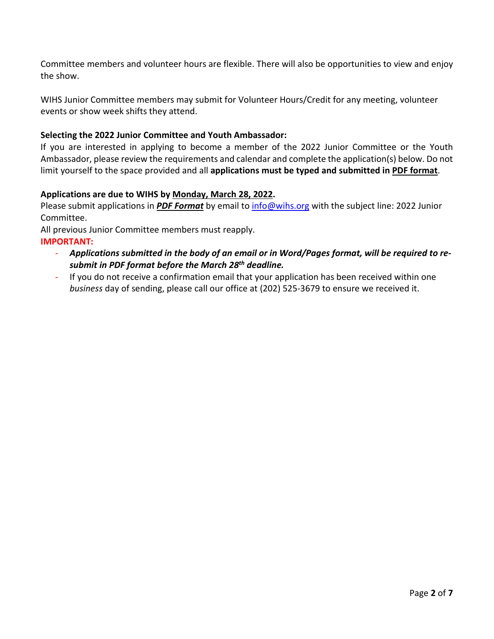Committee members and volunteer hours are flexible. There will also be opportunities to view and enjoy the show.

WIHS Junior Committee members may submit for Volunteer Hours/Credit for any meeting, volunteer events or show week shifts they attend.

## **Selecting the 2022 Junior Committee and Youth Ambassador:**

If you are interested in applying to become a member of the 2022 Junior Committee or the Youth Ambassador, please review the requirements and calendar and complete the application(s) below. Do not limit yourself to the space provided and all **applications must be typed and submitted in PDF format**.

## **Applications are due to WIHS by Monday, March 28, 2022.**

Please submit applications in *PDF Format* by email to [info@wihs.org](mailto:info@wihs.org?subject=2021%20Junior%20Committee) with the subject line: 2022 Junior Committee.

All previous Junior Committee members must reapply.

- **IMPORTANT:**
	- *Applications submitted in the body of an email or in Word/Pages format, will be required to resubmit in PDF format before the March 28th deadline.*
	- If you do not receive a confirmation email that your application has been received within one *business* day of sending, please call our office at (202) 525-3679 to ensure we received it.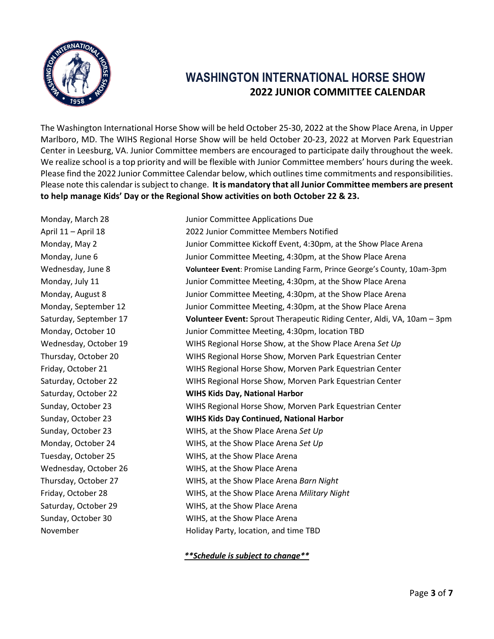

# **WASHINGTON INTERNATIONAL HORSE SHOW 2022 JUNIOR COMMITTEE CALENDAR**

The Washington International Horse Show will be held October 25-30, 2022 at the Show Place Arena, in Upper Marlboro, MD. The WIHS Regional Horse Show will be held October 20-23, 2022 at Morven Park Equestrian Center in Leesburg, VA. Junior Committee members are encouraged to participate daily throughout the week. We realize school is a top priority and will be flexible with Junior Committee members' hours during the week. Please find the 2022 Junior Committee Calendar below, which outlines time commitments and responsibilities. Please note this calendar is subject to change. **It is mandatory that all Junior Committee members are present to help manage Kids' Day or the Regional Show activities on both October 22 & 23.**

November Holiday Party, location, and time TBD

Monday, March 28 Junior Committee Applications Due April 11 – April 18 2022 Junior Committee Members Notified Monday, May 2 Junior Committee Kickoff Event, 4:30pm, at the Show Place Arena Monday, June 6 **Junior Committee Meeting, 4:30pm, at the Show Place Arena** Wednesday, June 8 **Volunteer Event**: Promise Landing Farm, Prince George's County, 10am-3pm Monday, July 11 Junior Committee Meeting, 4:30pm, at the Show Place Arena Monday, August 8 Junior Committee Meeting, 4:30pm, at the Show Place Arena Monday, September 12 Junior Committee Meeting, 4:30pm, at the Show Place Arena Saturday, September 17 **Volunteer Event:** Sprout Therapeutic Riding Center, Aldi, VA, 10am – 3pm Monday, October 10 Junior Committee Meeting, 4:30pm, location TBD Wednesday, October 19 WIHS Regional Horse Show, at the Show Place Arena *Set Up*  Thursday, October 20 WIHS Regional Horse Show, Morven Park Equestrian Center Friday, October 21 WIHS Regional Horse Show, Morven Park Equestrian Center Saturday, October 22 WIHS Regional Horse Show, Morven Park Equestrian Center Saturday, October 22 **WIHS Kids Day, National Harbor** Sunday, October 23 WIHS Regional Horse Show, Morven Park Equestrian Center Sunday, October 23 **WIHS Kids Day Continued, National Harbor** Sunday, October 23 WIHS, at the Show Place Arena *Set Up* Monday, October 24 WIHS, at the Show Place Arena *Set Up* Tuesday, October 25 WIHS, at the Show Place Arena Wednesday, October 26 WIHS, at the Show Place Arena Thursday, October 27 WIHS, at the Show Place Arena *Barn Night* Friday, October 28 WIHS, at the Show Place Arena *Military Night* Saturday, October 29 WIHS, at the Show Place Arena Sunday, October 30 WIHS, at the Show Place Arena

*\*\*Schedule is subject to change\*\**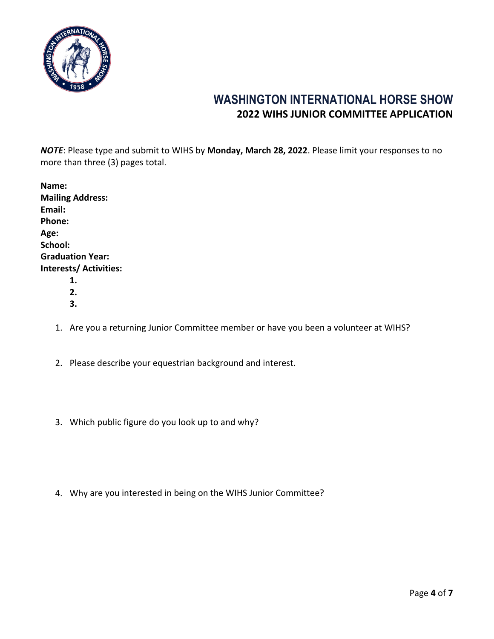

## **WASHINGTON INTERNATIONAL HORSE SHOW 2022 WIHS JUNIOR COMMITTEE APPLICATION**

*NOTE*: Please type and submit to WIHS by **Monday, March 28, 2022**. Please limit your responses to no more than three (3) pages total.

| Name:                   |  |  |
|-------------------------|--|--|
| <b>Mailing Address:</b> |  |  |
| Email:                  |  |  |
| Phone:                  |  |  |
| Age:                    |  |  |
| School:                 |  |  |
| <b>Graduation Year:</b> |  |  |
| Interests/ Activities:  |  |  |
| 1.                      |  |  |
| 2.                      |  |  |

- **3.**
- 1. Are you a returning Junior Committee member or have you been a volunteer at WIHS?
- 2. Please describe your equestrian background and interest.
- 3. Which public figure do you look up to and why?
- 4. Why are you interested in being on the WIHS Junior Committee?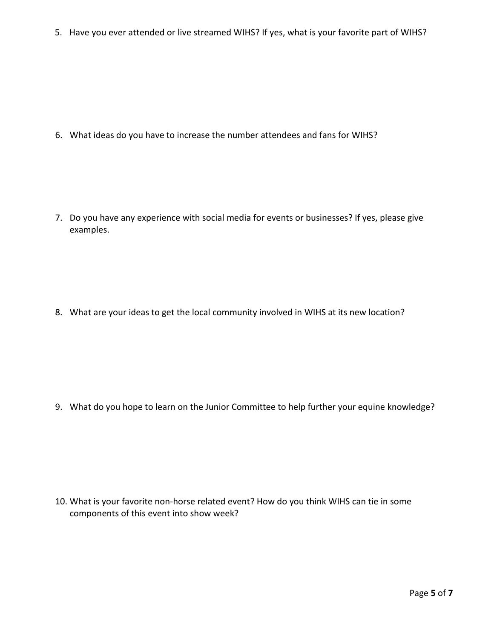5. Have you ever attended or live streamed WIHS? If yes, what is your favorite part of WIHS?

6. What ideas do you have to increase the number attendees and fans for WIHS?

7. Do you have any experience with social media for events or businesses? If yes, please give examples.

8. What are your ideas to get the local community involved in WIHS at its new location?

9. What do you hope to learn on the Junior Committee to help further your equine knowledge?

10. What is your favorite non-horse related event? How do you think WIHS can tie in some components of this event into show week?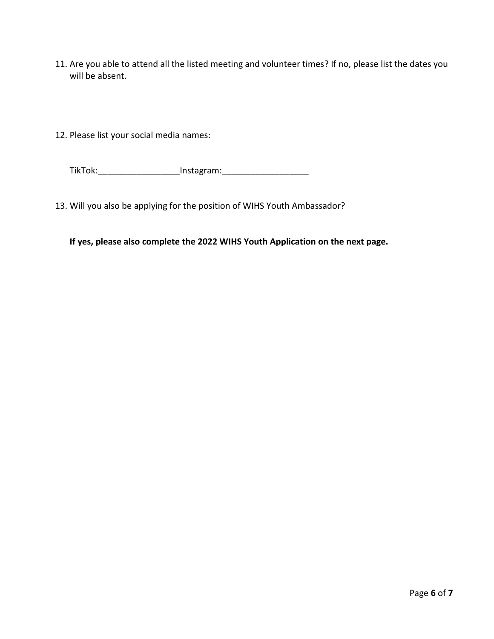- 11. Are you able to attend all the listed meeting and volunteer times? If no, please list the dates you will be absent.
- 12. Please list your social media names:

TikTok:\_\_\_\_\_\_\_\_\_\_\_\_\_\_\_\_\_Instagram:\_\_\_\_\_\_\_\_\_\_\_\_\_\_\_\_\_\_

13. Will you also be applying for the position of WIHS Youth Ambassador?

**If yes, please also complete the 2022 WIHS Youth Application on the next page.**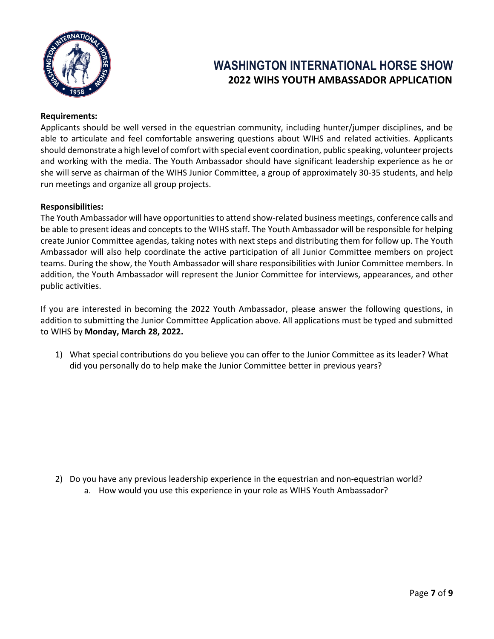

# **WASHINGTON INTERNATIONAL HORSE SHOW 2022 WIHS YOUTH AMBASSADOR APPLICATION**

### **Requirements:**

Applicants should be well versed in the equestrian community, including hunter/jumper disciplines, and be able to articulate and feel comfortable answering questions about WIHS and related activities. Applicants should demonstrate a high level of comfort with special event coordination, public speaking, volunteer projects and working with the media. The Youth Ambassador should have significant leadership experience as he or she will serve as chairman of the WIHS Junior Committee, a group of approximately 30-35 students, and help run meetings and organize all group projects.

#### **Responsibilities:**

The Youth Ambassador will have opportunities to attend show-related business meetings, conference calls and be able to present ideas and concepts to the WIHS staff. The Youth Ambassador will be responsible for helping create Junior Committee agendas, taking notes with next steps and distributing them for follow up. The Youth Ambassador will also help coordinate the active participation of all Junior Committee members on project teams. During the show, the Youth Ambassador will share responsibilities with Junior Committee members. In addition, the Youth Ambassador will represent the Junior Committee for interviews, appearances, and other public activities.

If you are interested in becoming the 2022 Youth Ambassador, please answer the following questions, in addition to submitting the Junior Committee Application above. All applications must be typed and submitted to WIHS by **Monday, March 28, 2022.** 

1) What special contributions do you believe you can offer to the Junior Committee as its leader? What did you personally do to help make the Junior Committee better in previous years?

2) Do you have any previous leadership experience in the equestrian and non-equestrian world? a. How would you use this experience in your role as WIHS Youth Ambassador?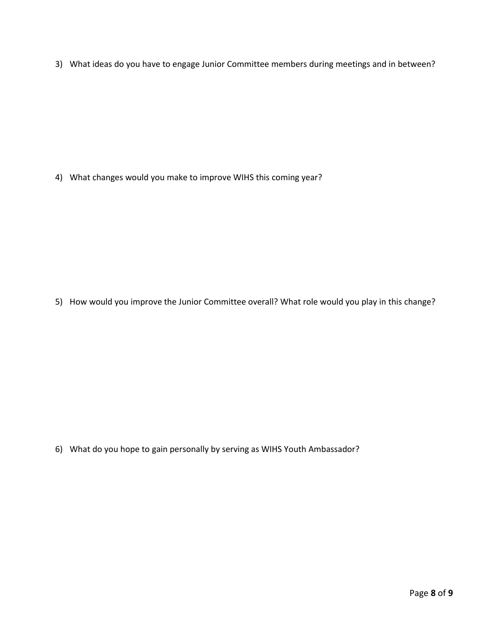3) What ideas do you have to engage Junior Committee members during meetings and in between?

4) What changes would you make to improve WIHS this coming year?

5) How would you improve the Junior Committee overall? What role would you play in this change?

6) What do you hope to gain personally by serving as WIHS Youth Ambassador?